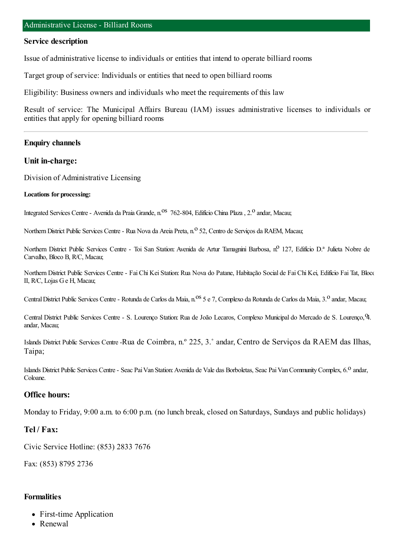### **Service description**

Issue of administrative license to individuals or entities that intend to operate billiard rooms

Target group of service: Individuals or entities that need to open billiard rooms

Eligibility: Business owners and individuals who meet the requirements of this law

Result of service: The Municipal Affairs Bureau (IAM) issues administrative licenses to individuals or entities that apply for opening billiard rooms

## **Enquiry channels**

## **Unit in-charge:**

Division of Administrative Licensing

#### **Locations for processing:**

Integrated Services Centre - Avenida da Praia Grande, n.<sup>08</sup> 762-804, Edifício China Plaza, 2.<sup>0</sup> andar, Macau;

Northern District Public Services Centre - Rua Nova da Areia Preta, n.º 52, Centro de Serviços da RAEM, Macau;

Northern District Public Services Centre - Toi San Station: Avenida de Artur Tamagnini Barbosa, n.º 127, Edifício D.ª Julieta Nobre de Carvalho, Bloco B, R/C, Macau;

Northern District Public Services Centre - Fai Chi Kei Station: Rua Nova do Patane, Habitação Social de Fai Chi Kei, Edifício Fai Tat, Bloco II, R/C, Lojas Ge H, Macau;

Central District Public Services Centre - Rotunda de Carlos da Maia, n.<sup>0S</sup> 5 e 7, Complexo da Rotunda de Carlos da Maia, 3.<sup>0</sup> andar, Macau;

Central District Public Services Centre - S. Lourenço Station: Rua de João Lecaros, Complexo Municipal do Mercado de S. Lourenço, 9. andar, Macau;

Islands District Public Services Centre -Rua de Coimbra, n.º 225, 3.˚ andar, Centro de Serviços da RAEM das Ilhas, Taipa;

Islands District Public Services Centre - Seac Pai Van Station: Avenida de Vale das Borboletas, Seac Pai Van Community Complex, 6.<sup>0</sup> andar, Coloane.

## **Office hours:**

Monday to Friday, 9:00 a.m. to 6:00 p.m. (no lunch break, closed on Saturdays, Sundays and public holidays)

# **Tel / Fax:**

Civic Service Hotline: (853) 2833 7676

Fax: (853) 8795 2736

## **Formalities**

- First-time Application
- Renewal